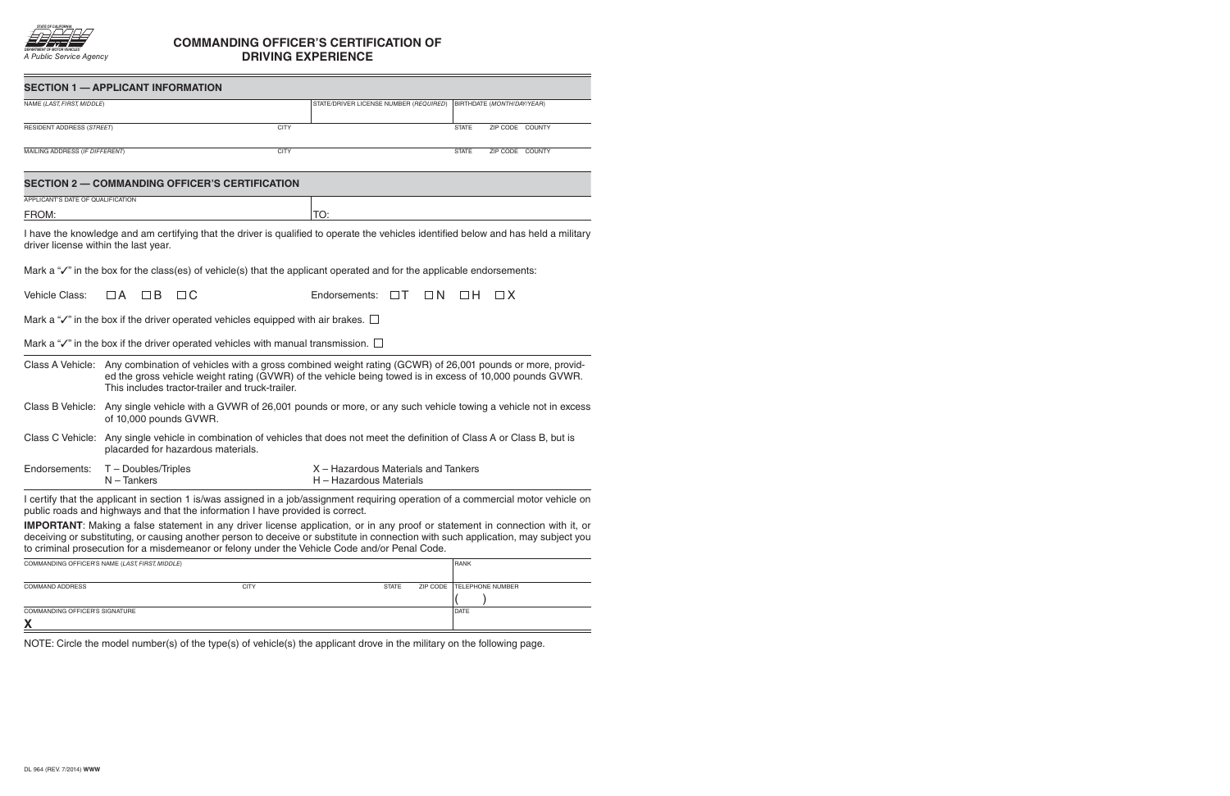

## **COMMANDING OFFICER'S CERTIFICATION OF DRIVING EXPERIENCE**

|                                               | <b>SECTION 1 - APPLICANT INFORMATION</b>                                                                                                                                                                                                                                                  |             |                                                                                                                                                                                                                                                                                                                                                                             |                                 |  |  |
|-----------------------------------------------|-------------------------------------------------------------------------------------------------------------------------------------------------------------------------------------------------------------------------------------------------------------------------------------------|-------------|-----------------------------------------------------------------------------------------------------------------------------------------------------------------------------------------------------------------------------------------------------------------------------------------------------------------------------------------------------------------------------|---------------------------------|--|--|
| NAME (LAST, FIRST, MIDDLE)                    |                                                                                                                                                                                                                                                                                           |             | STATE/DRIVER LICENSE NUMBER (REQUIRED)                                                                                                                                                                                                                                                                                                                                      | BIRTHDATE (MONTH/DAY/YEAR)      |  |  |
| RESIDENT ADDRESS (STREET)                     |                                                                                                                                                                                                                                                                                           | <b>CITY</b> |                                                                                                                                                                                                                                                                                                                                                                             | <b>STATE</b><br>ZIP CODE COUNTY |  |  |
| <b>CITY</b><br>MAILING ADDRESS (IF DIFFERENT) |                                                                                                                                                                                                                                                                                           |             |                                                                                                                                                                                                                                                                                                                                                                             | ZIP CODE COUNTY<br><b>STATE</b> |  |  |
|                                               | <b>SECTION 2 - COMMANDING OFFICER'S CERTIFICATION</b>                                                                                                                                                                                                                                     |             |                                                                                                                                                                                                                                                                                                                                                                             |                                 |  |  |
| APPLICANT'S DATE OF QUALIFICATION             |                                                                                                                                                                                                                                                                                           |             |                                                                                                                                                                                                                                                                                                                                                                             |                                 |  |  |
| FROM:                                         |                                                                                                                                                                                                                                                                                           |             | TO:                                                                                                                                                                                                                                                                                                                                                                         |                                 |  |  |
| driver license within the last year.          |                                                                                                                                                                                                                                                                                           |             | I have the knowledge and am certifying that the driver is qualified to operate the vehicles identified below and has held a military                                                                                                                                                                                                                                        |                                 |  |  |
|                                               |                                                                                                                                                                                                                                                                                           |             | Mark a " $\checkmark$ " in the box for the class(es) of vehicle(s) that the applicant operated and for the applicable endorsements:                                                                                                                                                                                                                                         |                                 |  |  |
| Vehicle Class:                                | $\Box$ B<br>$\Box$ C<br>$\Box A$                                                                                                                                                                                                                                                          |             | Endorsements:<br>$\Box T$<br>$\Box N$                                                                                                                                                                                                                                                                                                                                       | $\Box$ H<br>$\Box$ X            |  |  |
|                                               | Mark a " $\checkmark$ " in the box if the driver operated vehicles equipped with air brakes. $\Box$                                                                                                                                                                                       |             |                                                                                                                                                                                                                                                                                                                                                                             |                                 |  |  |
|                                               | Mark a " $\checkmark$ " in the box if the driver operated vehicles with manual transmission. $\Box$                                                                                                                                                                                       |             |                                                                                                                                                                                                                                                                                                                                                                             |                                 |  |  |
|                                               | Class A Vehicle: Any combination of vehicles with a gross combined weight rating (GCWR) of 26,001 pounds or more, provid-<br>ed the gross vehicle weight rating (GVWR) of the vehicle being towed is in excess of 10,000 pounds GVWR.<br>This includes tractor-trailer and truck-trailer. |             |                                                                                                                                                                                                                                                                                                                                                                             |                                 |  |  |
| Class B Vehicle:                              | Any single vehicle with a GVWR of 26,001 pounds or more, or any such vehicle towing a vehicle not in excess<br>of 10,000 pounds GVWR.                                                                                                                                                     |             |                                                                                                                                                                                                                                                                                                                                                                             |                                 |  |  |
|                                               | placarded for hazardous materials.                                                                                                                                                                                                                                                        |             | Class C Vehicle: Any single vehicle in combination of vehicles that does not meet the definition of Class A or Class B, but is                                                                                                                                                                                                                                              |                                 |  |  |
| Endorsements:                                 | T - Doubles/Triples<br>$N -$ Tankers                                                                                                                                                                                                                                                      |             | X - Hazardous Materials and Tankers<br>H - Hazardous Materials                                                                                                                                                                                                                                                                                                              |                                 |  |  |
|                                               | public roads and highways and that the information I have provided is correct.                                                                                                                                                                                                            |             | I certify that the applicant in section 1 is/was assigned in a job/assignment requiring operation of a commercial motor vehicle on                                                                                                                                                                                                                                          |                                 |  |  |
|                                               |                                                                                                                                                                                                                                                                                           |             | <b>IMPORTANT:</b> Making a false statement in any driver license application, or in any proof or statement in connection with it, or<br>deceiving or substituting, or causing another person to deceive or substitute in connection with such application, may subject you<br>to criminal prosecution for a misdemeanor or felony under the Vehicle Code and/or Penal Code. |                                 |  |  |

| COMMANDING OFFICER'S NAME (LAST, FIRST, MIDDLE) | <b>RANK</b> |              |                           |
|-------------------------------------------------|-------------|--------------|---------------------------|
|                                                 |             |              |                           |
| <b>COMMAND ADDRESS</b>                          | <b>CITY</b> | <b>STATE</b> | ZIP CODE TELEPHONE NUMBER |
|                                                 |             |              |                           |
| COMMANDING OFFICER'S SIGNATURE                  |             |              | DATE                      |
| v<br>Л                                          |             |              |                           |

NOTE: Circle the model number(s) of the type(s) of vehicle(s) the applicant drove in the military on the following page.